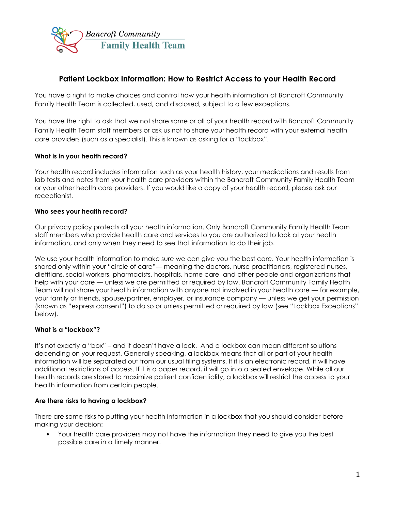

# **Patient Lockbox Information: How to Restrict Access to your Health Record**

You have a right to make choices and control how your health information at Bancroft Community Family Health Team is collected, used, and disclosed, subject to a few exceptions.

You have the right to ask that we not share some or all of your health record with Bancroft Community Family Health Team staff members or ask us not to share your health record with your external health care providers (such as a specialist). This is known as asking for a "lockbox".

## **What is in your health record?**

Your health record includes information such as your health history, your medications and results from lab tests and notes from your health care providers within the Bancroft Community Family Health Team or your other health care providers. If you would like a copy of your health record, please ask our receptionist.

## **Who sees your health record?**

Our privacy policy protects all your health information. Only Bancroft Community Family Health Team staff members who provide health care and services to you are authorized to look at your health information, and only when they need to see that information to do their job.

We use your health information to make sure we can give you the best care. Your health information is shared only within your "circle of care"— meaning the doctors, nurse practitioners, registered nurses, dietitians, social workers, pharmacists, hospitals, home care, and other people and organizations that help with your care — unless we are permitted or required by law. Bancroft Community Family Health Team will not share your health information with anyone not involved in your health care — for example, your family or friends, spouse/partner, employer, or insurance company — unless we get your permission (known as "express consent") to do so or unless permitted or required by law (see "Lockbox Exceptions" below).

## **What is a "lockbox"?**

It's not exactly a "box" – and it doesn't have a lock. And a lockbox can mean different solutions depending on your request. Generally speaking, a lockbox means that all or part of your health information will be separated out from our usual filing systems. If it is an electronic record, it will have additional restrictions of access. If it is a paper record, it will go into a sealed envelope. While all our health records are stored to maximize patient confidentiality, a lockbox will restrict the access to your health information from certain people.

## **Are there risks to having a lockbox?**

There are some risks to putting your health information in a lockbox that you should consider before making your decision:

• Your health care providers may not have the information they need to give you the best possible care in a timely manner.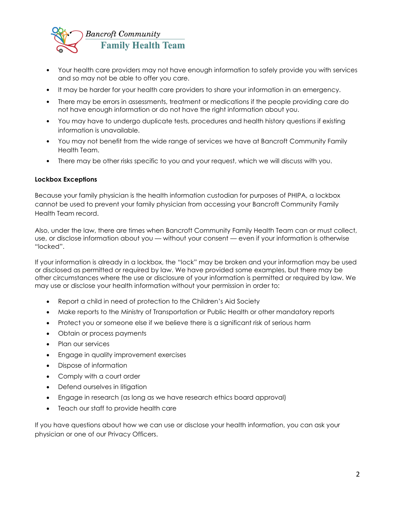

- Your health care providers may not have enough information to safely provide you with services and so may not be able to offer you care.
- It may be harder for your health care providers to share your information in an emergency.
- There may be errors in assessments, treatment or medications if the people providing care do not have enough information or do not have the right information about you.
- You may have to undergo duplicate tests, procedures and health history questions if existing information is unavailable.
- You may not benefit from the wide range of services we have at Bancroft Community Family Health Team.
- There may be other risks specific to you and your request, which we will discuss with you.

## **Lockbox Exceptions**

Because your family physician is the health information custodian for purposes of PHIPA, a lockbox cannot be used to prevent your family physician from accessing your Bancroft Community Family Health Team record.

Also, under the law, there are times when Bancroft Community Family Health Team can or must collect, use, or disclose information about you — without your consent — even if your information is otherwise "locked".

If your information is already in a lockbox, the "lock" may be broken and your information may be used or disclosed as permitted or required by law. We have provided some examples, but there may be other circumstances where the use or disclosure of your information is permitted or required by law. We may use or disclose your health information without your permission in order to:

- Report a child in need of protection to the Children's Aid Society
- Make reports to the Ministry of Transportation or Public Health or other mandatory reports
- Protect you or someone else if we believe there is a significant risk of serious harm
- Obtain or process payments
- Plan our services
- Engage in quality improvement exercises
- Dispose of information
- Comply with a court order
- Defend ourselves in litigation
- Engage in research (as long as we have research ethics board approval)
- Teach our staff to provide health care

If you have questions about how we can use or disclose your health information, you can ask your physician or one of our Privacy Officers.